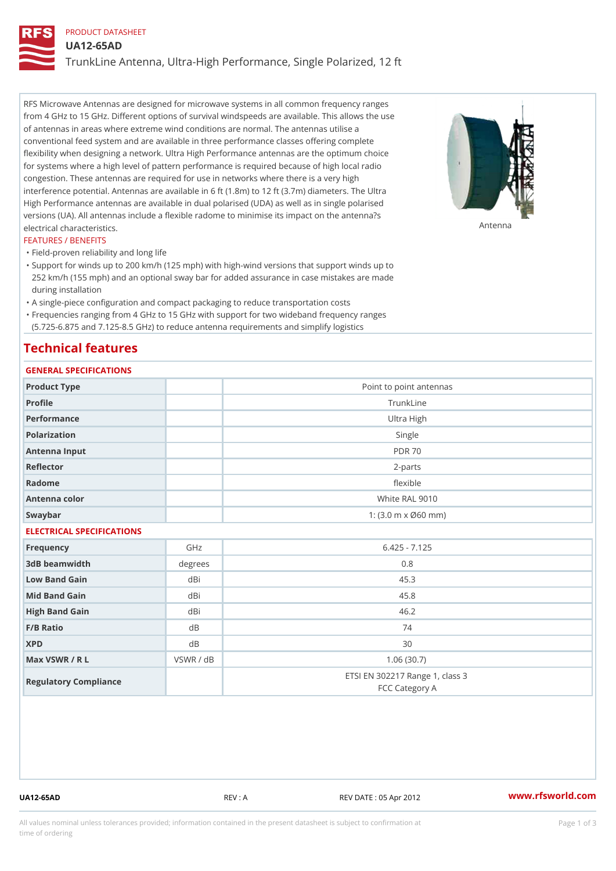### PRODUCT DATASHEET

UA12-65AD

TrunkLine Antenna, Ultra-High Performance, Single Polarized, 12 ft

RFS Microwave Antennas are designed for microwave systems in all common frequency ranges from 4 GHz to 15 GHz. Different options of survival windspeeds are available. This allows the use of antennas in areas where extreme wind conditions are normal. The antennas utilise a conventional feed system and are available in three performance classes offering complete flexibility when designing a network. Ultra High Performance antennas are the optimum choice for systems where a high level of pattern performance is required because of high local radio congestion. These antennas are required for use in networks where there is a very high interference potential. Antennas are available in 6 ft (1.8m) to 12 ft (3.7m) diameters. The Ultra High Performance antennas are available in dual polarised (UDA) as well as in single polarised versions (UA). All antennas include a flexible radome to minimise its impact on the antenna?s electrical characteristics. Antenna

#### FEATURES / BENEFITS

"Field-proven reliability and long life

- Support for winds up to 200 km/h (125 mph) with high-wind versions that support winds up to " 252 km/h (155 mph) and an optional sway bar for added assurance in case mistakes are made during installation
- "A single-piece configuration and compact packaging to reduce transportation costs
- Frequencies ranging from 4 GHz to 15 GHz with support for two wideband frequency ranges "
- (5.725-6.875 and 7.125-8.5 GHz) to reduce antenna requirements and simplify logistics

## Technical features

## GENERAL SPECIFICATIONS

| GENERAL SELGIFICATIONS    |           |                                                         |  |  |  |
|---------------------------|-----------|---------------------------------------------------------|--|--|--|
| Product Type              |           | Point to point antennas                                 |  |  |  |
| Profile                   |           | TrunkLine                                               |  |  |  |
| Performance               |           | Ultra High                                              |  |  |  |
| Polarization              |           | Single                                                  |  |  |  |
| Antenna Input             |           | <b>PDR 70</b>                                           |  |  |  |
| Reflector                 |           | $2 - p$ arts                                            |  |  |  |
| Radome                    |           | flexible                                                |  |  |  |
| Antenna color             |           | White RAL 9010                                          |  |  |  |
| Swaybar                   |           | 1: $(3.0 \, \text{m} \times \emptyset 60 \, \text{mm})$ |  |  |  |
| ELECTRICAL SPECIFICATIONS |           |                                                         |  |  |  |
| Frequency                 | GHz       | $6.425 - 7.125$                                         |  |  |  |
| 3dB beamwidth             | degrees   | 0.8                                                     |  |  |  |
| Low Band Gain             | dBi       | 45.3                                                    |  |  |  |
| Mid Band Gain             | dBi       | 45.8                                                    |  |  |  |
| High Band Gain            | dBi       | 46.2                                                    |  |  |  |
| F/B Ratio                 | d B       | 74                                                      |  |  |  |
| <b>XPD</b>                | d B       | 30                                                      |  |  |  |
| Max VSWR / R L            | VSWR / dB | 1.06(30.7)                                              |  |  |  |
| Regulatory Compliance     |           | ETSI EN 302217 Range 1, class 3<br>FCC Category A       |  |  |  |

UA12-65AD REV : A REV DATE : 05 Apr 2012 [www.](https://www.rfsworld.com)rfsworld.com

All values nominal unless tolerances provided; information contained in the present datasheet is subject to Pcapgeign mation time of ordering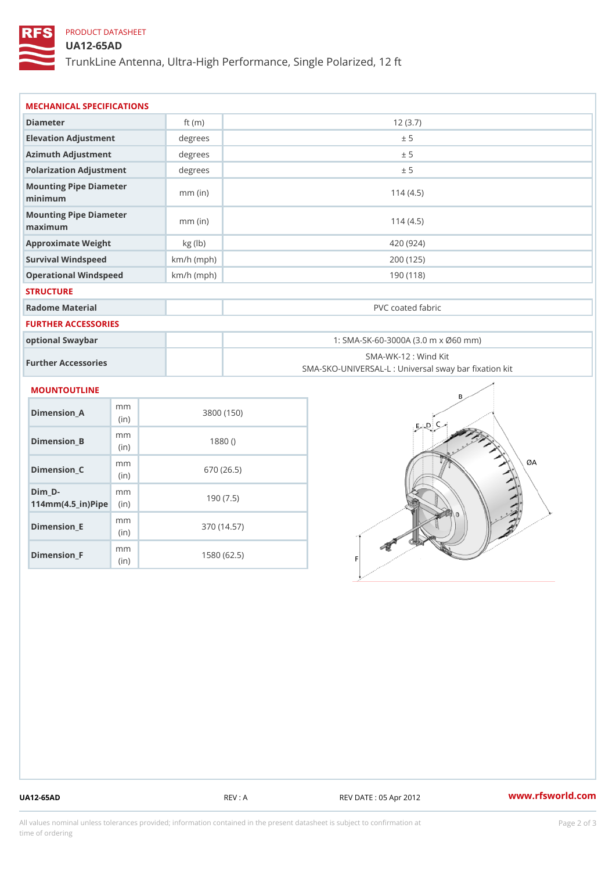# PRODUCT DATASHEET

## UA12-65AD

TrunkLine Antenna, Ultra-High Performance, Single Polarized, 12 ft

| MECHANICAL SPECIFICATIONS                                                  |              |                                                                           |  |
|----------------------------------------------------------------------------|--------------|---------------------------------------------------------------------------|--|
| Diameter                                                                   | ft $(m)$     | 12(3.7)                                                                   |  |
| Elevation Adjustment                                                       | degree       | ± 5                                                                       |  |
| Azimuth Adjustment                                                         | degrees      | ± 5                                                                       |  |
| Polarization Adjustment                                                    | degrees      | ± 5                                                                       |  |
| Mounting Pipe Diameter<br>minimum                                          | $mm$ (in)    | 114(4.5)                                                                  |  |
| Mounting Pipe Diameter<br>maximum                                          | $mm$ (in)    | 114(4.5)                                                                  |  |
| Approximate Weight                                                         | kg (lb)      | 420 (924)                                                                 |  |
| Survival Windspeed                                                         | $km/h$ (mph) | 200 (125)                                                                 |  |
| Operational Windspeed                                                      | $km/h$ (mph) | 190 (118)                                                                 |  |
| <b>STRUCTURE</b>                                                           |              |                                                                           |  |
| Radome Material                                                            |              | PVC coated fabric                                                         |  |
| <b>FURTHER ACCESSORIES</b>                                                 |              |                                                                           |  |
| optional Swaybar                                                           |              | 1: SMA-SK-60-3000A (3.0 m x Ø60 mm)                                       |  |
| Further Accessories                                                        |              | SMA-WK-12 : Wind Kit<br>SMA-SKO-UNIVERSAL-L : Universal sway bar fixation |  |
| <b>MOUNTOUTLINE</b>                                                        |              |                                                                           |  |
| m m<br>Dimension_A<br>(in)                                                 |              | 3800 (150)                                                                |  |
| m m<br>$Dimension_B$<br>(in)                                               |              | 1880()                                                                    |  |
| m m<br>Dimension_C<br>(in)                                                 |              | 670 (26.5)                                                                |  |
| $Dim_D - D -$<br>m <sub>m</sub><br>$114$ m m $(4.5$ ir $)$ $\sqrt{$ ip $e$ |              | 190(7.5)                                                                  |  |

Dimension\_F m<sub>m</sub> (in) 1580 (62.5)

m<sub>m</sub> (in)

Dimension\_E

370 (14.57)

UA12-65AD REV : A REV DATE : 05 Apr 2012 [www.](https://www.rfsworld.com)rfsworld.com